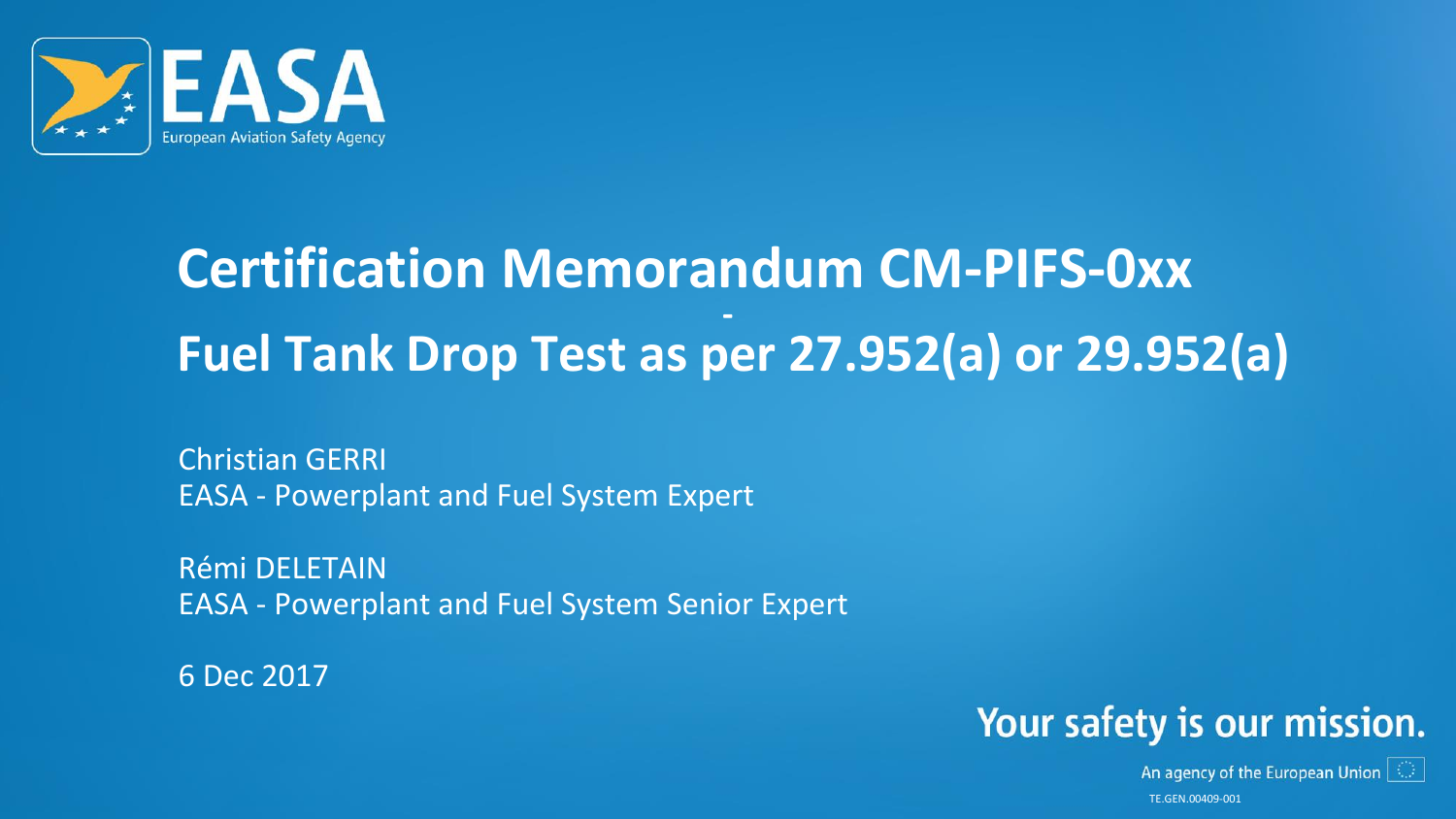

#### **Certification Memorandum CM-PIFS-0xx - Fuel Tank Drop Test as per 27.952(a) or 29.952(a)**

Christian GERRI EASA - Powerplant and Fuel System Expert

Rémi DELETAIN EASA - Powerplant and Fuel System Senior Expert

6 Dec 2017



An agency of the European Union  $\|\mathbb{O}\|$ TE.GEN.00409-001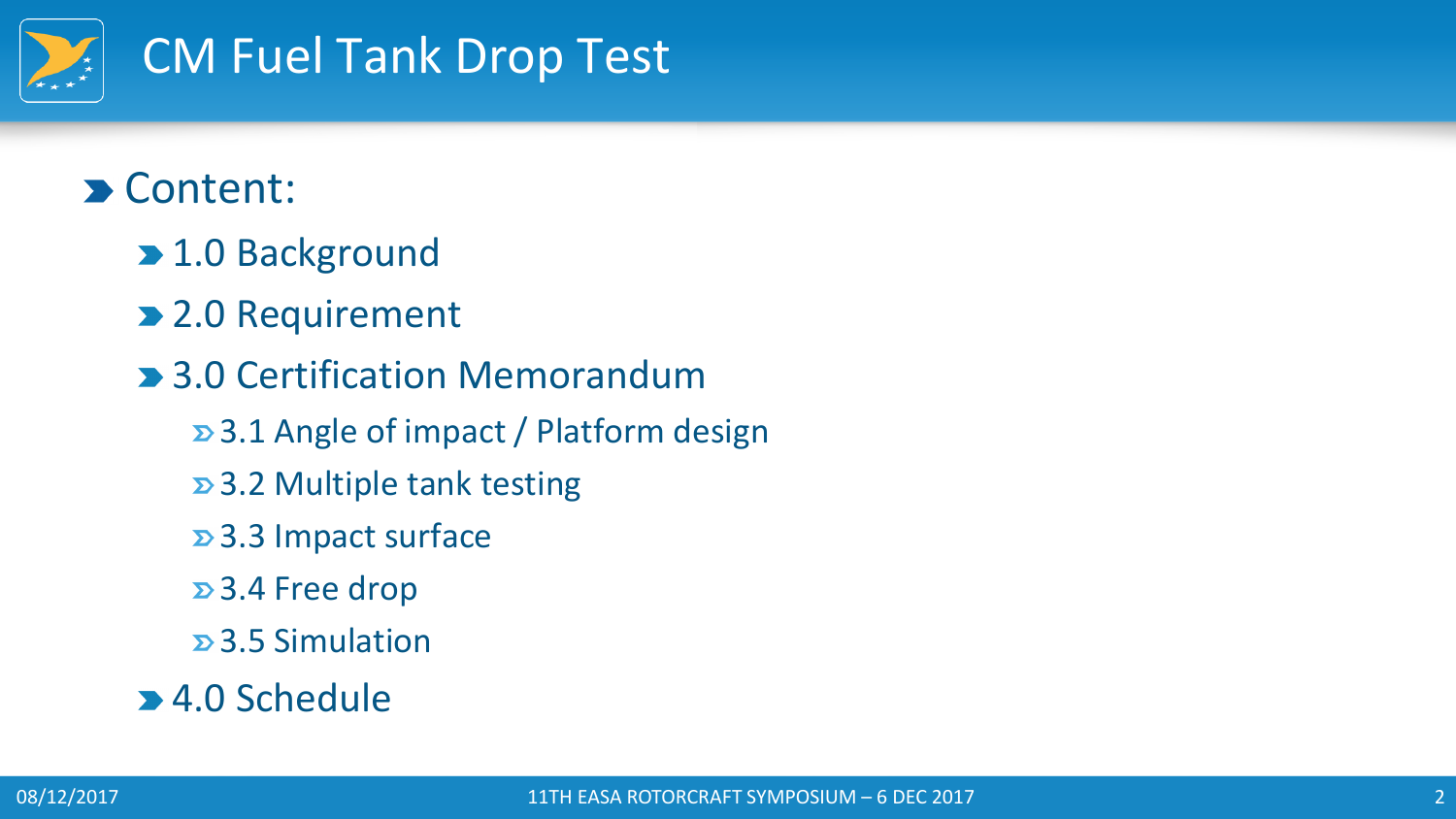

#### Content:

- **> 1.0 Background**
- 2.0 Requirement
- **> 3.0 Certification Memorandum** 
	- 3.1 Angle of impact / Platform design
	- 3.2 Multiple tank testing
	- 3.3 Impact surface
	- 3.4 Free drop
	- 3.5 Simulation
- 4.0 Schedule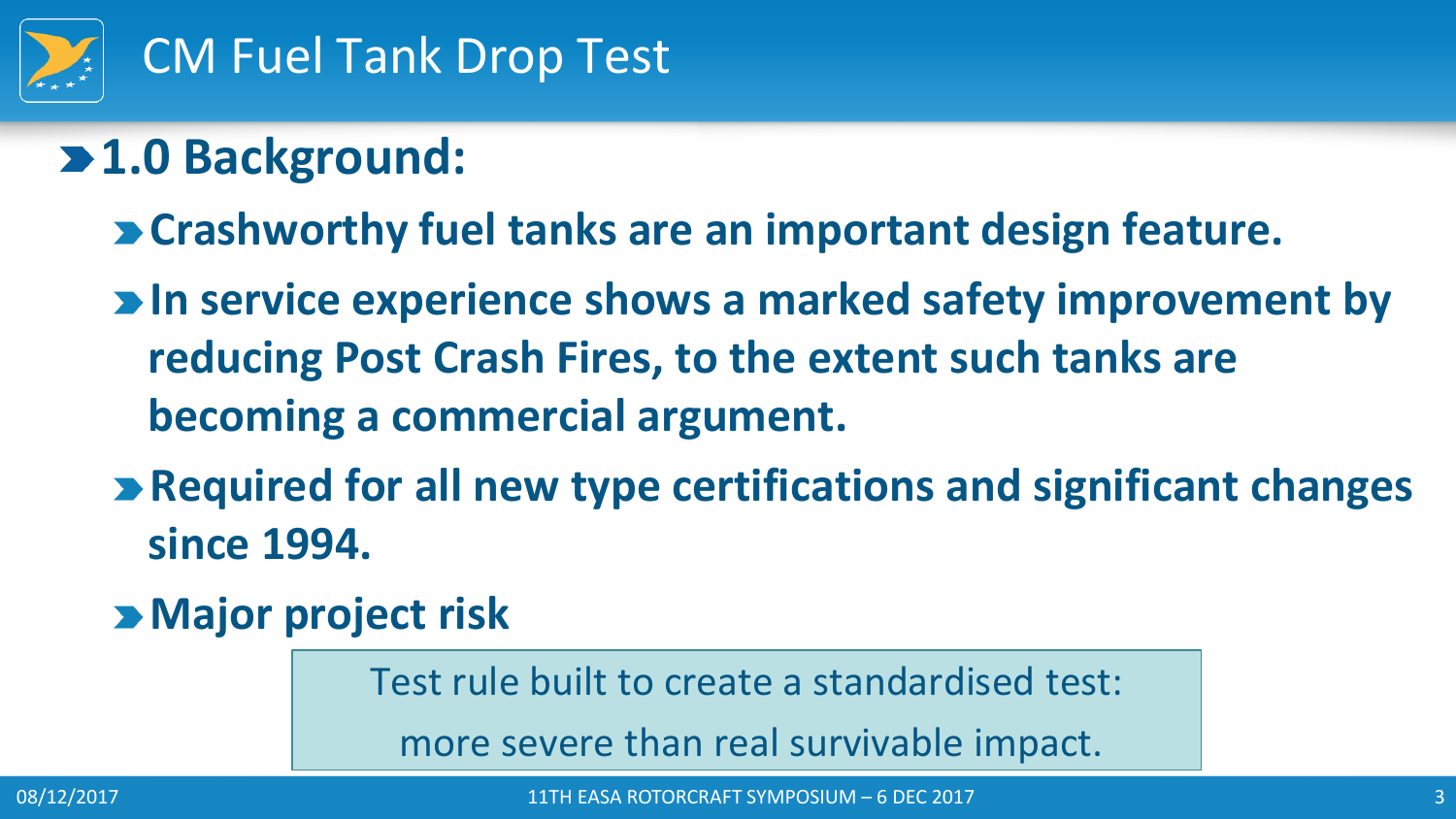

## **1.0 Background:**

- **Crashworthy fuel tanks are an important design feature.**
- **In service experience shows a marked safety improvement by reducing Post Crash Fires, to the extent such tanks are becoming a commercial argument.**
- **Required for all new type certifications and significant changes since 1994.**
- **Major project risk**

Test rule built to create a standardised test:

more severe than real survivable impact.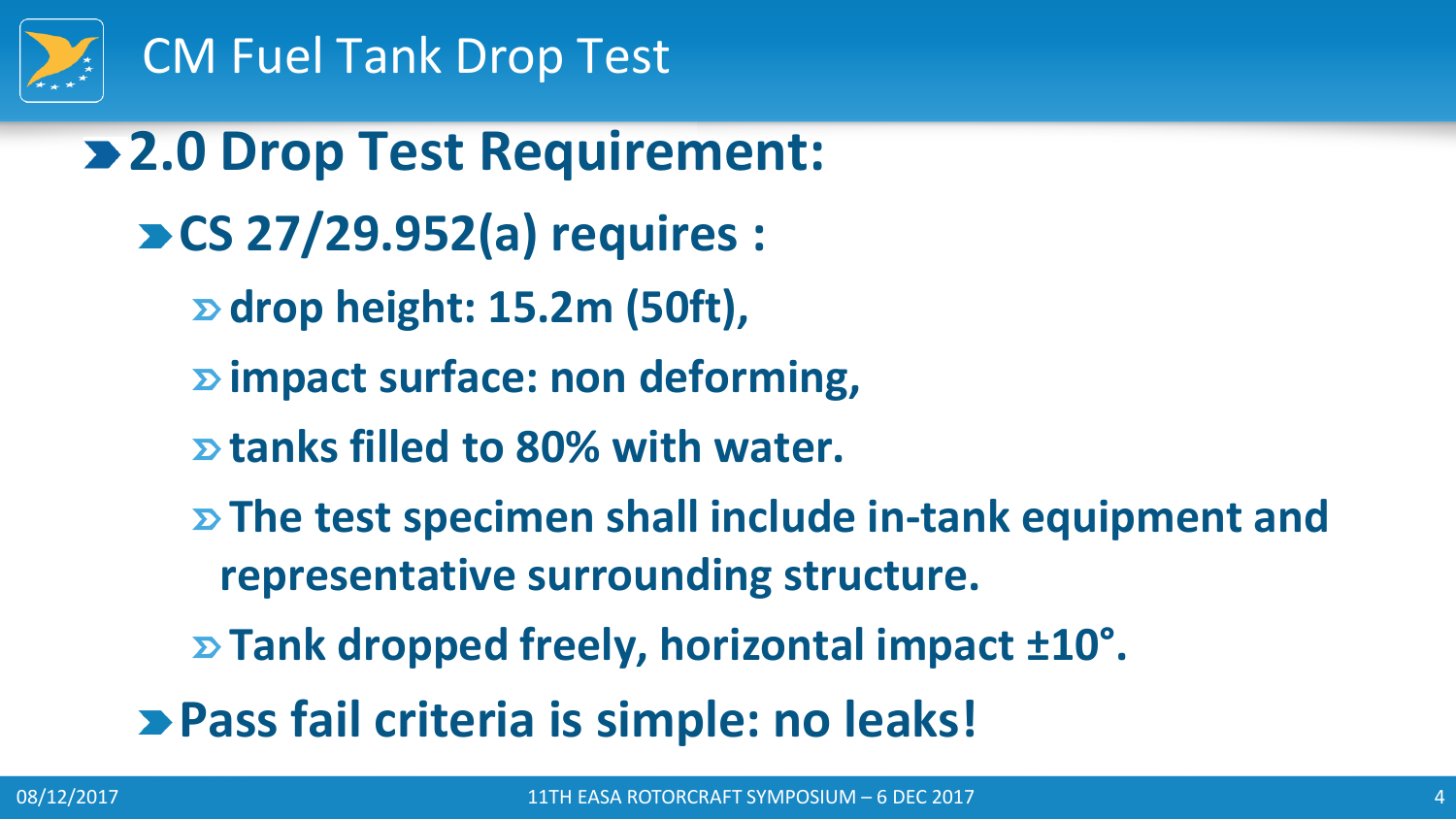

**2.0 Drop Test Requirement: CS 27/29.952(a) requires : drop height: 15.2m (50ft), impact surface: non deforming, tanks filled to 80% with water. The test specimen shall include in-tank equipment and representative surrounding structure. Tank dropped freely, horizontal impact ±10° . Pass fail criteria is simple: no leaks!**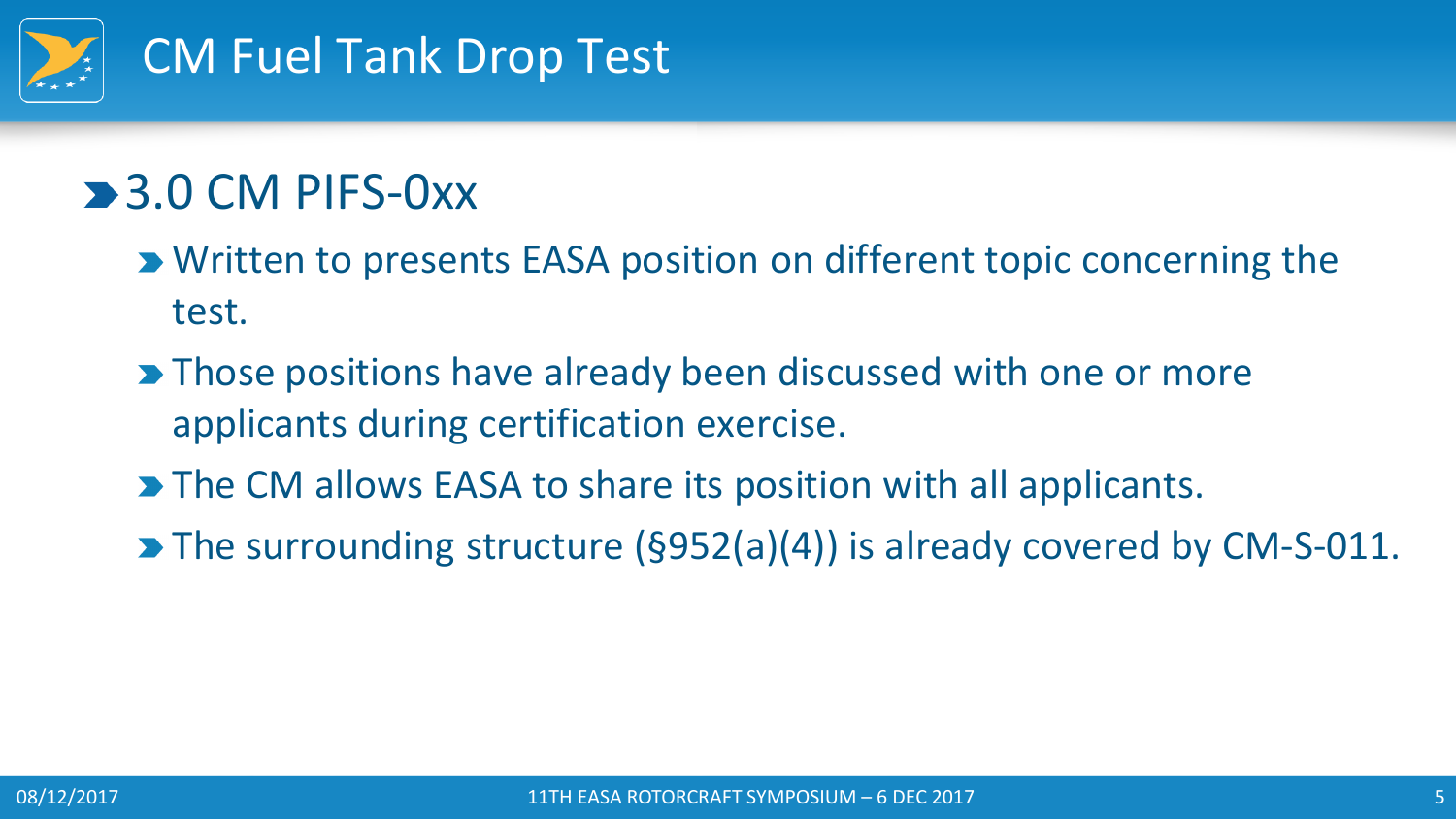

## **3.0 CM PIFS-0xx**

- **EXA Written to presents EASA position on different topic concerning the** test.
- **Those positions have already been discussed with one or more** applicants during certification exercise.
- The CM allows EASA to share its position with all applicants.
- The surrounding structure (§952(a)(4)) is already covered by CM-S-011.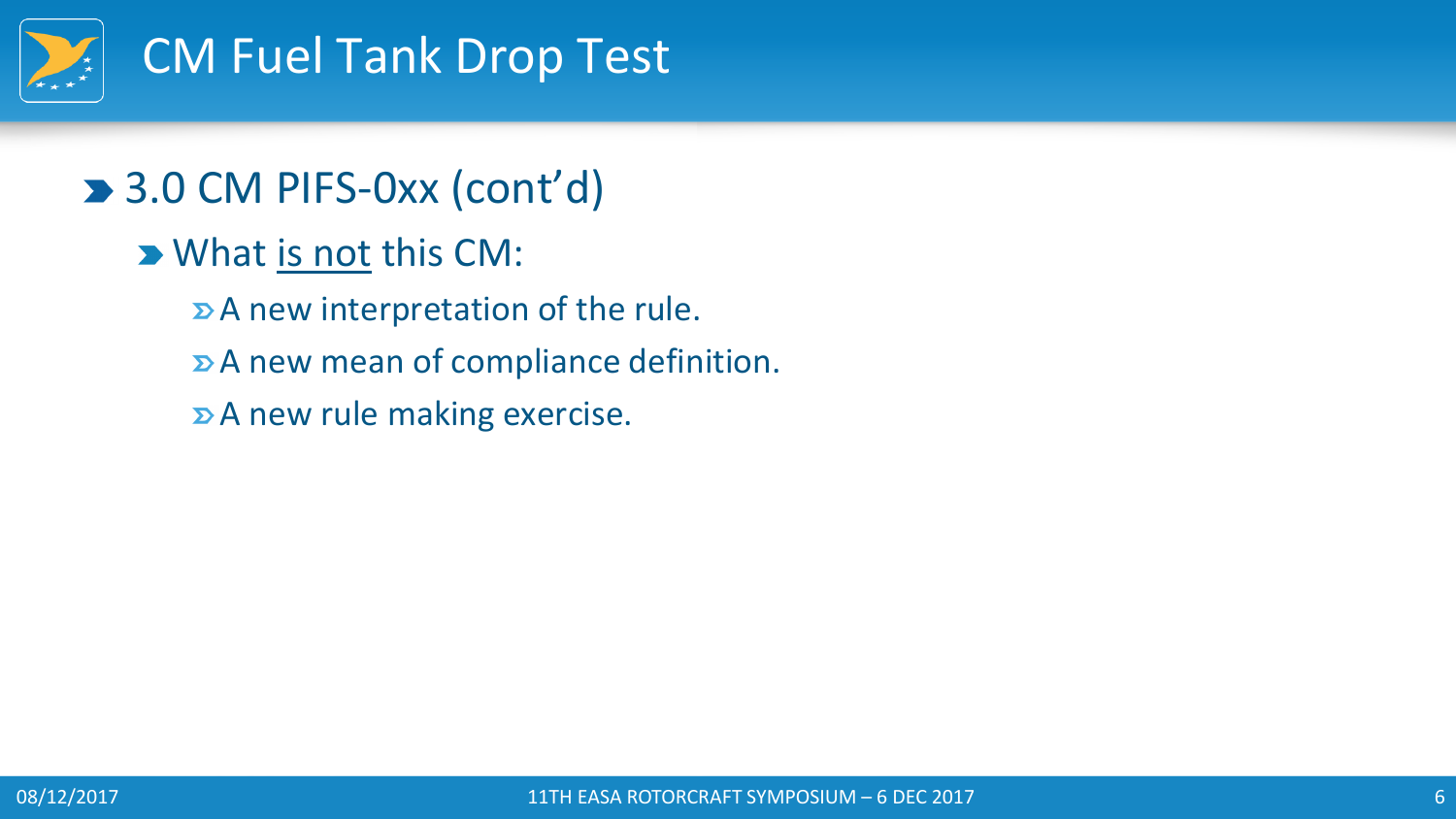

#### ■ 3.0 CM PIFS-0xx (cont'd)

- **D** What is not this CM:
	- $\triangleright$  A new interpretation of the rule.
	- A new mean of compliance definition.
	- **D**A new rule making exercise.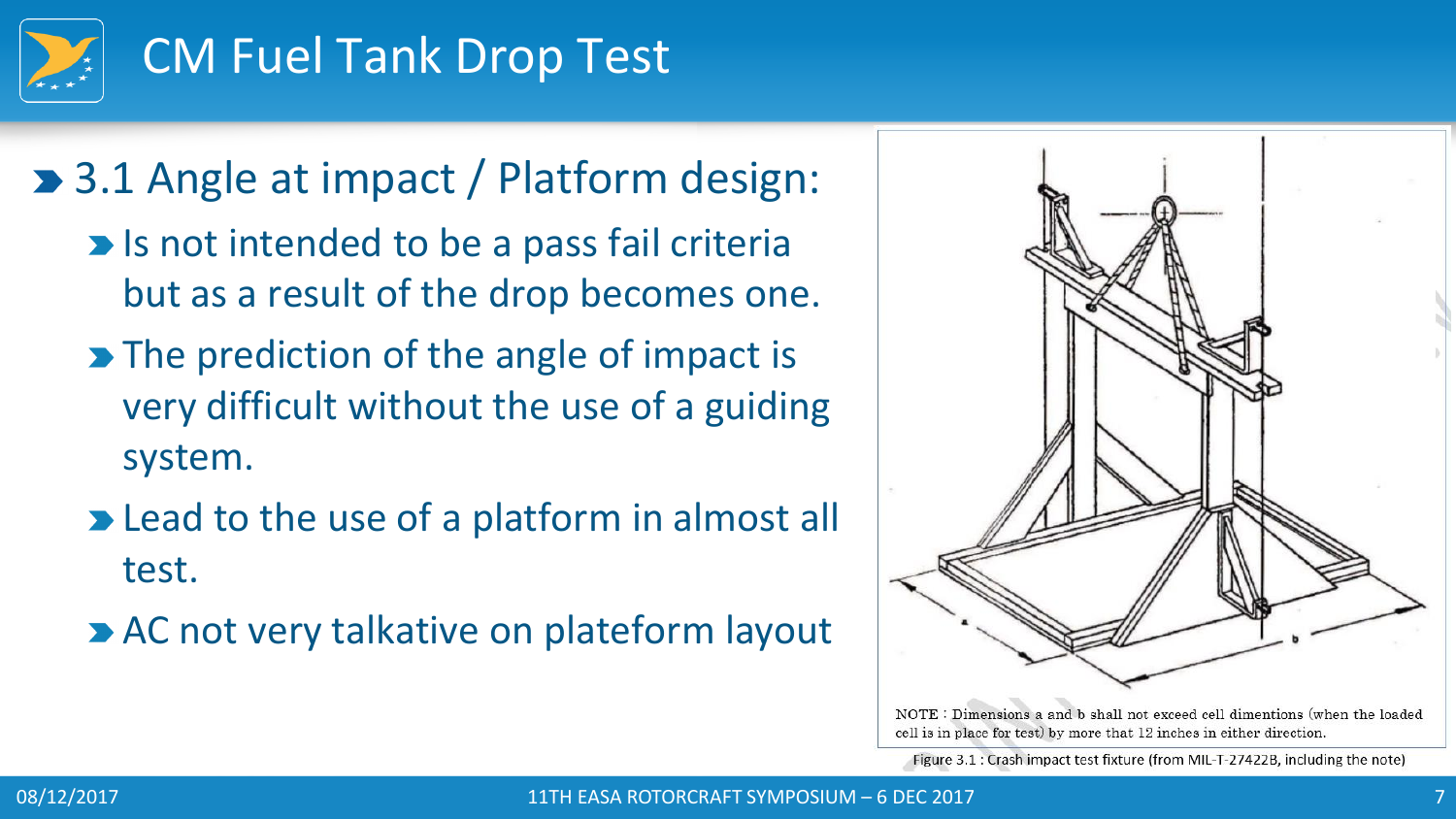

#### ■ 3.1 Angle at impact / Platform design:

- **Is not intended to be a pass fail criterially** but as a result of the drop becomes one.
- The prediction of the angle of impact is very difficult without the use of a guiding system.
- **Example 2 Fead to the use of a platform in almost all** test.
- **AC not very talkative on plateform layout**



NOTE : Dimensions a and b shall not exceed cell dimentions (when the loaded cell is in place for test) by more that 12 inches in either direction.

Figure 3.1 : Crash impact test fixture (from MIL-T-27422B, including the note)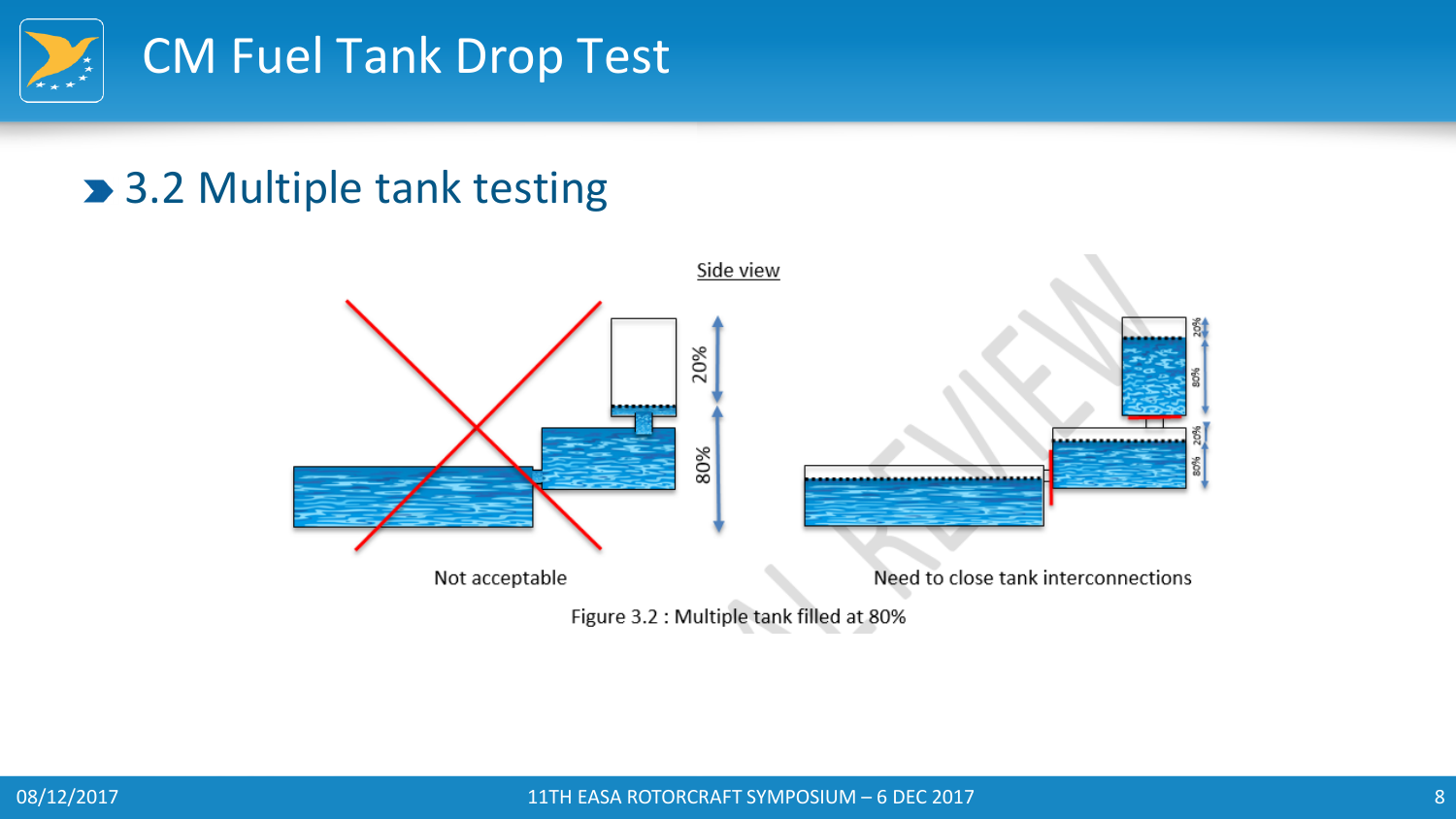

#### ■ 3.2 Multiple tank testing



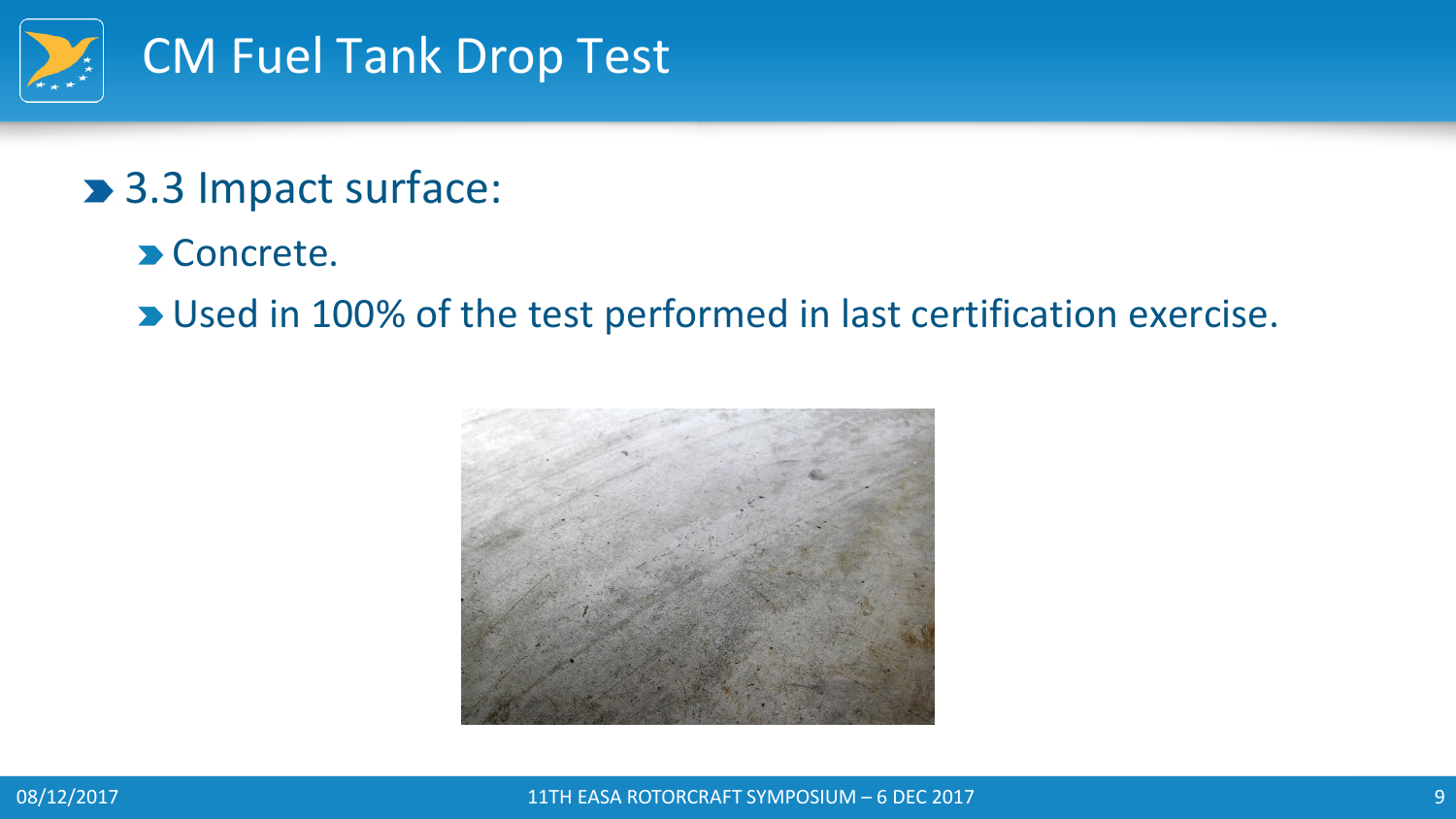

#### > 3.3 Impact surface:

**D** Concrete.

**D** Used in 100% of the test performed in last certification exercise.



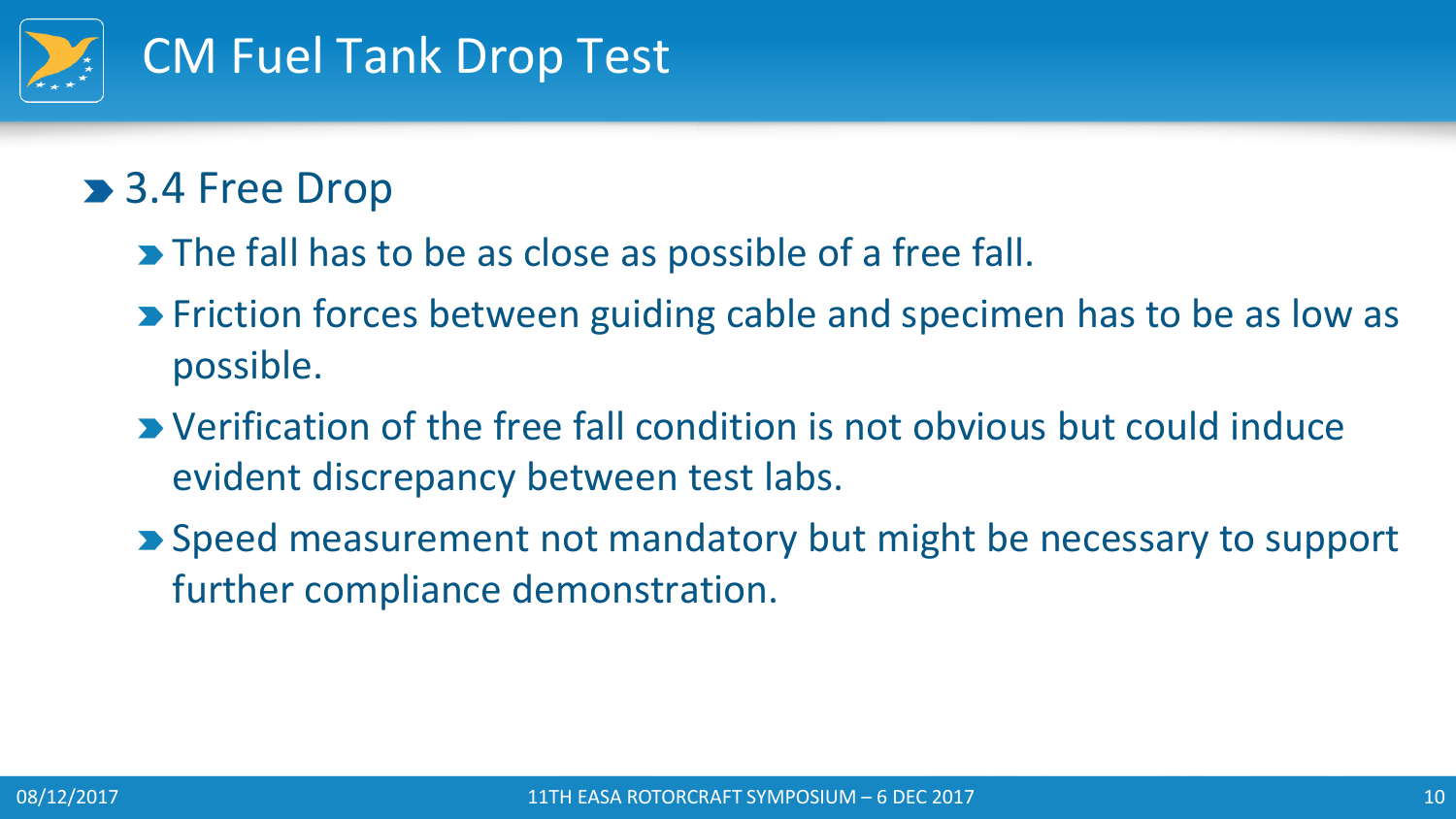

#### **> 3.4 Free Drop**

- The fall has to be as close as possible of a free fall.
- **Example 2 Friction forces between guiding cable and specimen has to be as low as** possible.
- Verification of the free fall condition is not obvious but could induce evident discrepancy between test labs.
- **>** Speed measurement not mandatory but might be necessary to support further compliance demonstration.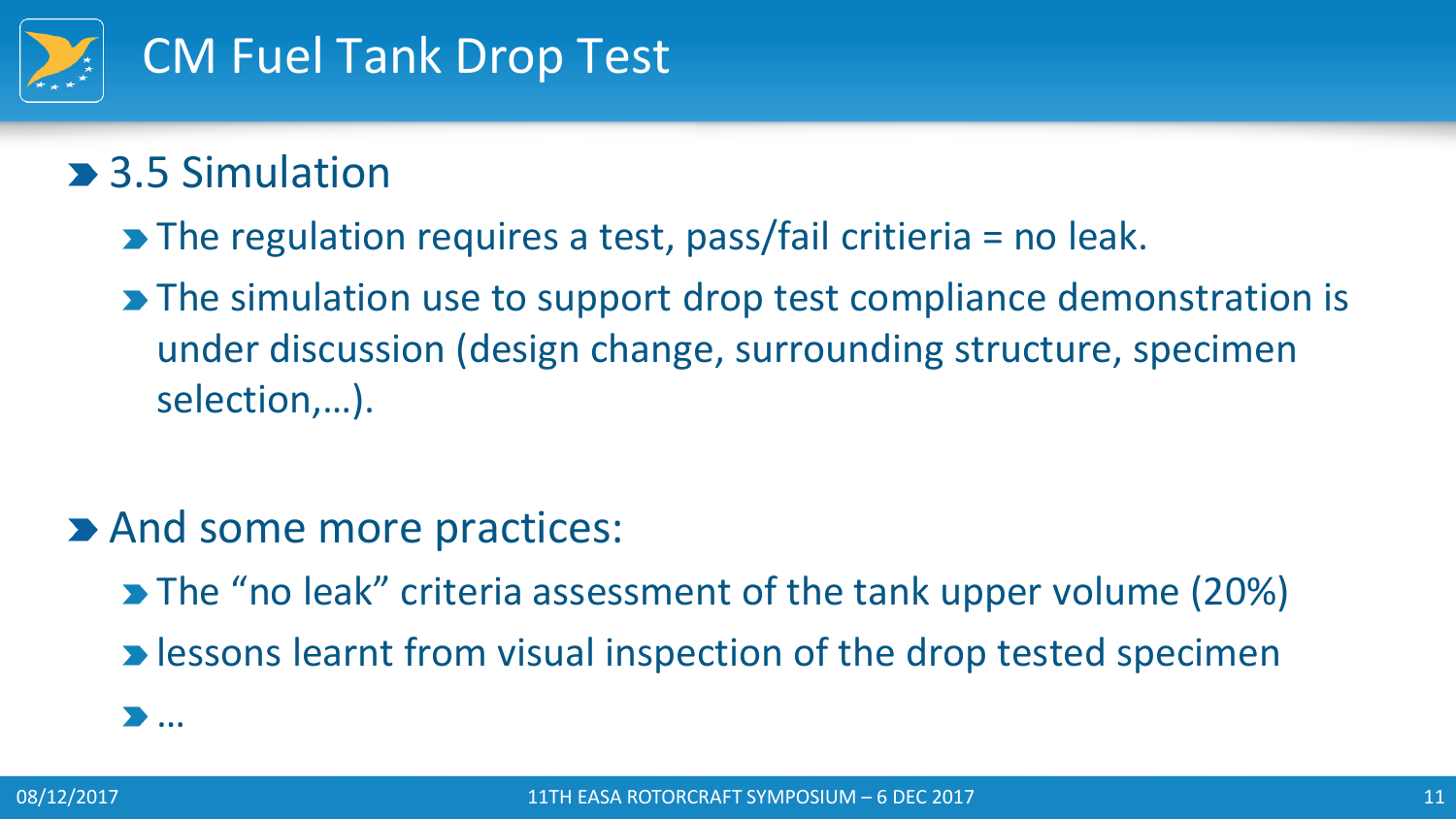

- **3.5 Simulation** 
	- $\blacktriangleright$  The regulation requires a test, pass/fail critieria = no leak.
	- **The simulation use to support drop test compliance demonstration is** under discussion (design change, surrounding structure, specimen selection,…).
- **And some more practices:** 
	- **The "no leak" criteria assessment of the tank upper volume (20%)**
	- **D** lessons learnt from visual inspection of the drop tested specimen

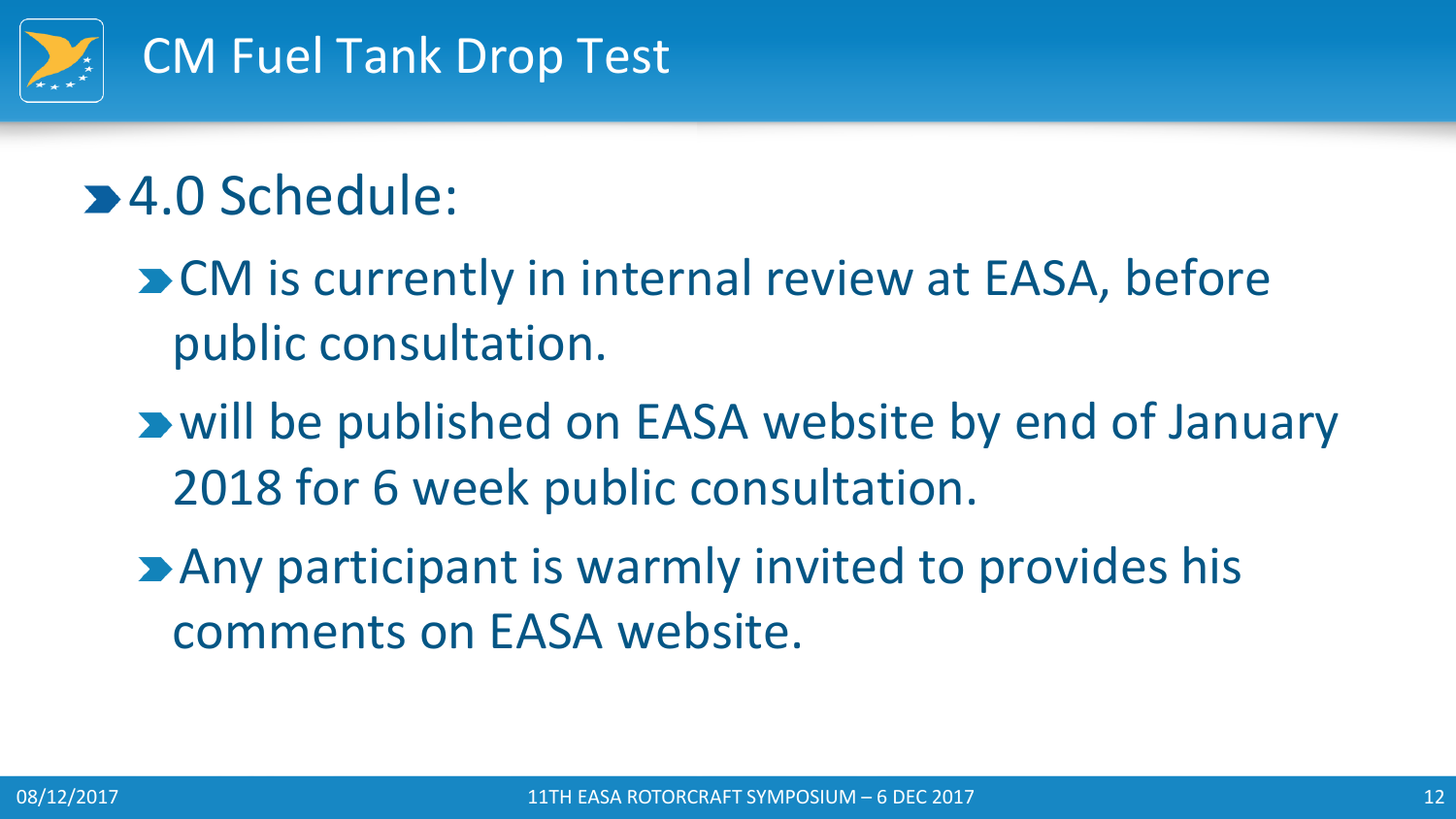

# **24.0 Schedule:**

**Deta** CM is currently in internal review at EASA, before public consultation.

- will be published on EASA website by end of January 2018 for 6 week public consultation.
- **Any participant is warmly invited to provides his** comments on EASA website.